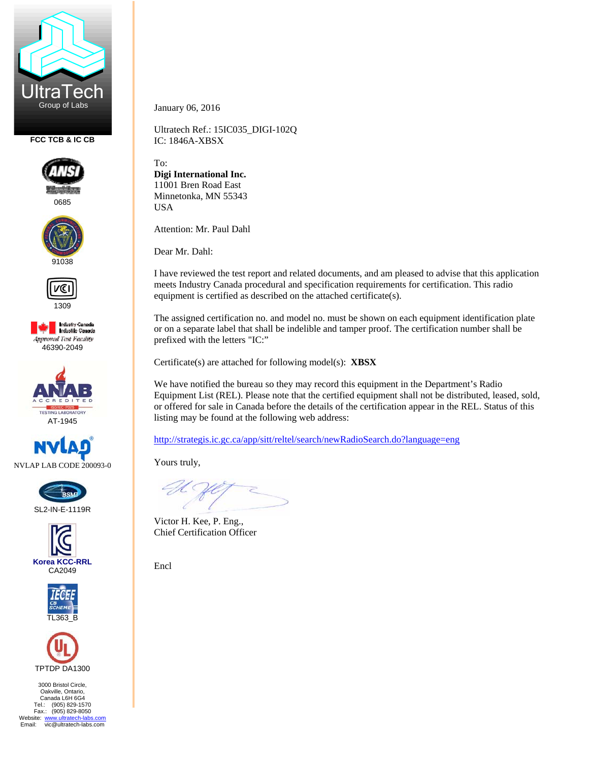

**FCC TCB & IC CB** 



0685





1309

**Industry Canada**<br>Industrie Canada **Approved Test Facility** 46390-2049





SL2-IN-E-1119R







3000 Bristol Circle, Oakville, Ontario, Canada L6H 6G4 Tel.: (905) 829-1570 Fax.: (905) 829-8050 Website: www.ultratech-labs.com<br>Email: vic@ultratech-labs.com January 06, 2016

Ultratech Ref.: 15IC035\_DIGI-102Q IC: 1846A-XBSX

To: **Digi International Inc.**  11001 Bren Road East Minnetonka, MN 55343 USA

Attention: Mr. Paul Dahl

Dear Mr. Dahl:

I have reviewed the test report and related documents, and am pleased to advise that this application meets Industry Canada procedural and specification requirements for certification. This radio equipment is certified as described on the attached certificate(s).

The assigned certification no. and model no. must be shown on each equipment identification plate or on a separate label that shall be indelible and tamper proof. The certification number shall be prefixed with the letters "IC:"

Certificate(s) are attached for following model(s): **XBSX**

We have notified the bureau so they may record this equipment in the Department's Radio Equipment List (REL). Please note that the certified equipment shall not be distributed, leased, sold, or offered for sale in Canada before the details of the certification appear in the REL. Status of this listing may be found at the following web address:

http://strategis.ic.gc.ca/app/sitt/reltel/search/newRadioSearch.do?language=eng

Yours truly,

Victor H. Kee, P. Eng., Chief Certification Officer

Encl